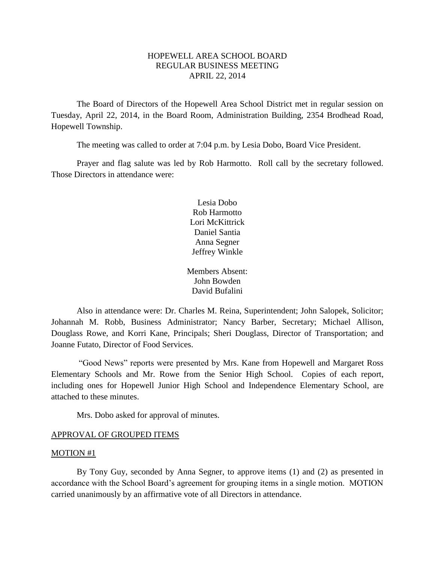# HOPEWELL AREA SCHOOL BOARD REGULAR BUSINESS MEETING APRIL 22, 2014

The Board of Directors of the Hopewell Area School District met in regular session on Tuesday, April 22, 2014, in the Board Room, Administration Building, 2354 Brodhead Road, Hopewell Township.

The meeting was called to order at 7:04 p.m. by Lesia Dobo, Board Vice President.

Prayer and flag salute was led by Rob Harmotto. Roll call by the secretary followed. Those Directors in attendance were:

> Lesia Dobo Rob Harmotto Lori McKittrick Daniel Santia Anna Segner Jeffrey Winkle

Members Absent: John Bowden David Bufalini

Also in attendance were: Dr. Charles M. Reina, Superintendent; John Salopek, Solicitor; Johannah M. Robb, Business Administrator; Nancy Barber, Secretary; Michael Allison, Douglass Rowe, and Korri Kane, Principals; Sheri Douglass, Director of Transportation; and Joanne Futato, Director of Food Services.

"Good News" reports were presented by Mrs. Kane from Hopewell and Margaret Ross Elementary Schools and Mr. Rowe from the Senior High School. Copies of each report, including ones for Hopewell Junior High School and Independence Elementary School, are attached to these minutes.

Mrs. Dobo asked for approval of minutes.

#### APPROVAL OF GROUPED ITEMS

#### MOTION #1

By Tony Guy, seconded by Anna Segner, to approve items (1) and (2) as presented in accordance with the School Board's agreement for grouping items in a single motion. MOTION carried unanimously by an affirmative vote of all Directors in attendance.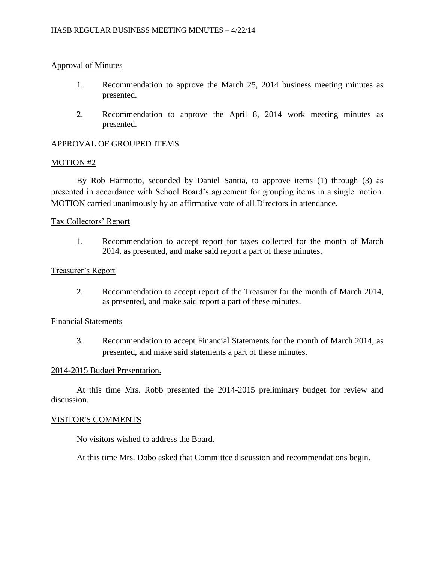# Approval of Minutes

- 1. Recommendation to approve the March 25, 2014 business meeting minutes as presented.
- 2. Recommendation to approve the April 8, 2014 work meeting minutes as presented.

# APPROVAL OF GROUPED ITEMS

#### MOTION #2

By Rob Harmotto, seconded by Daniel Santia, to approve items (1) through (3) as presented in accordance with School Board's agreement for grouping items in a single motion. MOTION carried unanimously by an affirmative vote of all Directors in attendance.

#### Tax Collectors' Report

1. Recommendation to accept report for taxes collected for the month of March 2014, as presented, and make said report a part of these minutes.

#### Treasurer's Report

2. Recommendation to accept report of the Treasurer for the month of March 2014, as presented, and make said report a part of these minutes.

#### Financial Statements

3. Recommendation to accept Financial Statements for the month of March 2014, as presented, and make said statements a part of these minutes.

#### 2014-2015 Budget Presentation.

At this time Mrs. Robb presented the 2014-2015 preliminary budget for review and discussion.

# VISITOR'S COMMENTS

No visitors wished to address the Board.

At this time Mrs. Dobo asked that Committee discussion and recommendations begin.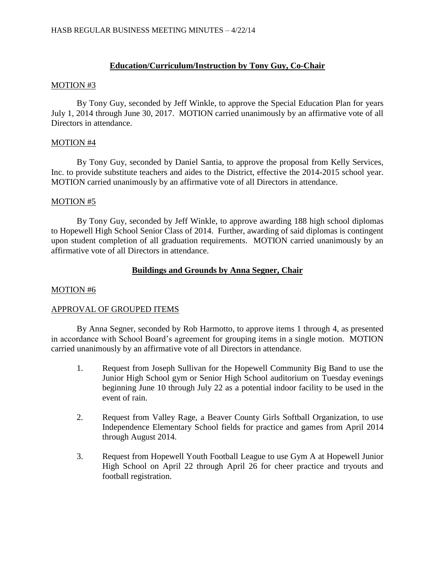# **Education/Curriculum/Instruction by Tony Guy, Co-Chair**

#### MOTION #3

By Tony Guy, seconded by Jeff Winkle, to approve the Special Education Plan for years July 1, 2014 through June 30, 2017. MOTION carried unanimously by an affirmative vote of all Directors in attendance.

# MOTION #4

By Tony Guy, seconded by Daniel Santia, to approve the proposal from Kelly Services, Inc. to provide substitute teachers and aides to the District, effective the 2014-2015 school year. MOTION carried unanimously by an affirmative vote of all Directors in attendance.

# MOTION #5

By Tony Guy, seconded by Jeff Winkle, to approve awarding 188 high school diplomas to Hopewell High School Senior Class of 2014. Further, awarding of said diplomas is contingent upon student completion of all graduation requirements. MOTION carried unanimously by an affirmative vote of all Directors in attendance.

# **Buildings and Grounds by Anna Segner, Chair**

# MOTION #6

# APPROVAL OF GROUPED ITEMS

By Anna Segner, seconded by Rob Harmotto, to approve items 1 through 4, as presented in accordance with School Board's agreement for grouping items in a single motion. MOTION carried unanimously by an affirmative vote of all Directors in attendance.

- 1. Request from Joseph Sullivan for the Hopewell Community Big Band to use the Junior High School gym or Senior High School auditorium on Tuesday evenings beginning June 10 through July 22 as a potential indoor facility to be used in the event of rain.
- 2. Request from Valley Rage, a Beaver County Girls Softball Organization, to use Independence Elementary School fields for practice and games from April 2014 through August 2014.
- 3. Request from Hopewell Youth Football League to use Gym A at Hopewell Junior High School on April 22 through April 26 for cheer practice and tryouts and football registration.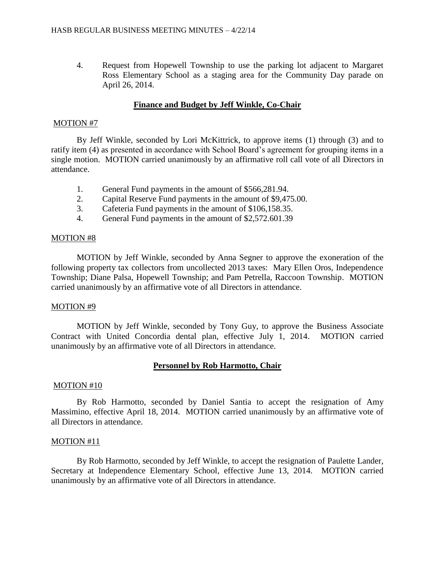4. Request from Hopewell Township to use the parking lot adjacent to Margaret Ross Elementary School as a staging area for the Community Day parade on April 26, 2014.

# **Finance and Budget by Jeff Winkle, Co-Chair**

#### MOTION #7

By Jeff Winkle, seconded by Lori McKittrick, to approve items (1) through (3) and to ratify item (4) as presented in accordance with School Board's agreement for grouping items in a single motion. MOTION carried unanimously by an affirmative roll call vote of all Directors in attendance.

- 1. General Fund payments in the amount of \$566,281.94.
- 2. Capital Reserve Fund payments in the amount of \$9,475.00.
- 3. Cafeteria Fund payments in the amount of \$106,158.35.
- 4. General Fund payments in the amount of \$2,572.601.39

#### MOTION #8

MOTION by Jeff Winkle, seconded by Anna Segner to approve the exoneration of the following property tax collectors from uncollected 2013 taxes: Mary Ellen Oros, Independence Township; Diane Palsa, Hopewell Township; and Pam Petrella, Raccoon Township. MOTION carried unanimously by an affirmative vote of all Directors in attendance.

#### MOTION #9

MOTION by Jeff Winkle, seconded by Tony Guy, to approve the Business Associate Contract with United Concordia dental plan, effective July 1, 2014. MOTION carried unanimously by an affirmative vote of all Directors in attendance.

# **Personnel by Rob Harmotto, Chair**

# MOTION #10

By Rob Harmotto, seconded by Daniel Santia to accept the resignation of Amy Massimino, effective April 18, 2014. MOTION carried unanimously by an affirmative vote of all Directors in attendance.

# MOTION #11

By Rob Harmotto, seconded by Jeff Winkle, to accept the resignation of Paulette Lander, Secretary at Independence Elementary School, effective June 13, 2014. MOTION carried unanimously by an affirmative vote of all Directors in attendance.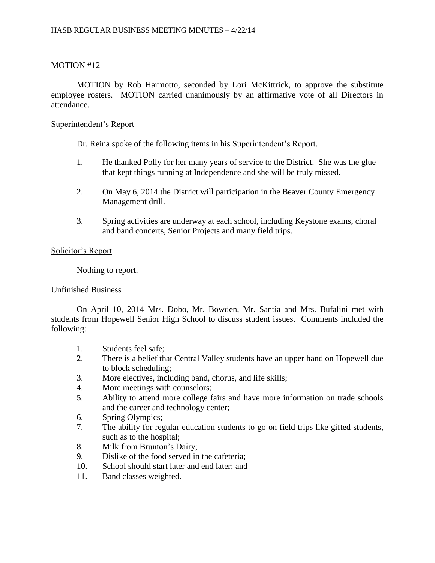# MOTION #12

MOTION by Rob Harmotto, seconded by Lori McKittrick, to approve the substitute employee rosters. MOTION carried unanimously by an affirmative vote of all Directors in attendance.

#### Superintendent's Report

Dr. Reina spoke of the following items in his Superintendent's Report.

- 1. He thanked Polly for her many years of service to the District. She was the glue that kept things running at Independence and she will be truly missed.
- 2. On May 6, 2014 the District will participation in the Beaver County Emergency Management drill.
- 3. Spring activities are underway at each school, including Keystone exams, choral and band concerts, Senior Projects and many field trips.

#### Solicitor's Report

Nothing to report.

#### Unfinished Business

On April 10, 2014 Mrs. Dobo, Mr. Bowden, Mr. Santia and Mrs. Bufalini met with students from Hopewell Senior High School to discuss student issues. Comments included the following:

- 1. Students feel safe;
- 2. There is a belief that Central Valley students have an upper hand on Hopewell due to block scheduling;
- 3. More electives, including band, chorus, and life skills;
- 4. More meetings with counselors;
- 5. Ability to attend more college fairs and have more information on trade schools and the career and technology center;
- 6. Spring Olympics;
- 7. The ability for regular education students to go on field trips like gifted students, such as to the hospital;
- 8. Milk from Brunton's Dairy;
- 9. Dislike of the food served in the cafeteria;
- 10. School should start later and end later; and
- 11. Band classes weighted.